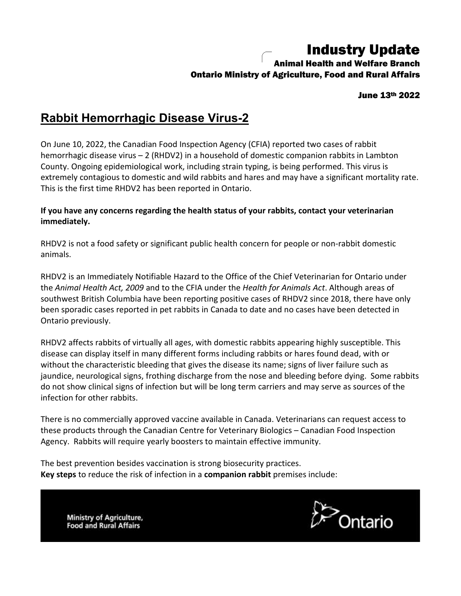## Industry Update

## Animal Health and Welfare Branch Ontario Ministry of Agriculture, Food and Rural Affairs

June 13th 2022

## **Rabbit Hemorrhagic Disease Virus-2**

On June 10, 2022, the Canadian Food Inspection Agency (CFIA) reported two cases of rabbit hemorrhagic disease virus – 2 (RHDV2) in a household of domestic companion rabbits in Lambton County. Ongoing epidemiological work, including strain typing, is being performed. This virus is extremely contagious to domestic and wild rabbits and hares and may have a significant mortality rate. This is the first time RHDV2 has been reported in Ontario.

## **If you have any concerns regarding the health status of your rabbits, contact your veterinarian immediately.**

RHDV2 is not a food safety or significant public health concern for people or non-rabbit domestic animals.

RHDV2 is an Immediately Notifiable Hazard to the Office of the Chief Veterinarian for Ontario under the *Animal Health Act, 2009* and to the CFIA under the *Health for Animals Act*. Although areas of southwest British Columbia have been reporting positive cases of RHDV2 since 2018, there have only been sporadic cases reported in pet rabbits in Canada to date and no cases have been detected in Ontario previously.

RHDV2 affects rabbits of virtually all ages, with domestic rabbits appearing highly susceptible. This disease can display itself in many different forms including rabbits or hares found dead, with or without the characteristic bleeding that gives the disease its name; signs of liver failure such as jaundice, neurological signs, frothing discharge from the nose and bleeding before dying. Some rabbits do not show clinical signs of infection but will be long term carriers and may serve as sources of the infection for other rabbits.

There is no commercially approved vaccine available in Canada. Veterinarians can request access to these products through the Canadian Centre for Veterinary Biologics – Canadian Food Inspection Agency. Rabbits will require yearly boosters to maintain effective immunity.

The best prevention besides vaccination is strong biosecurity practices. **Key steps** to reduce the risk of infection in a **companion rabbit** premises include:



Ministry of Agriculture, **Food and Rural Affairs**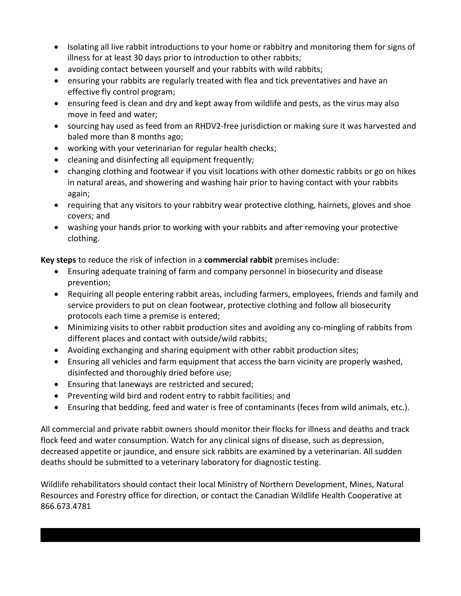- Isolating all live rabbit introductions to your home or rabbitry and monitoring them for signs of illness for at least 30 days prior to introduction to other rabbits;
- avoiding contact between yourself and your rabbits with wild rabbits;
- ensuring your rabbits are regularly treated with flea and tick preventatives and have an effective fly control program;
- ensuring feed is clean and dry and kept away from wildlife and pests, as the virus may also move in feed and water;
- sourcing hay used as feed from an RHDV2-free jurisdiction or making sure it was harvested and baled more than 8 months ago;
- working with your veterinarian for regular health checks;
- cleaning and disinfecting all equipment frequently;
- changing clothing and footwear if you visit locations with other domestic rabbits or go on hikes in natural areas, and showering and washing hair prior to having contact with your rabbits again;
- requiring that any visitors to your rabbitry wear protective clothing, hairnets, gloves and shoe covers; and
- washing your hands prior to working with your rabbits and after removing your protective clothing.

**Key steps** to reduce the risk of infection in a **commercial rabbit** premises include:

- Ensuring adequate training of farm and company personnel in biosecurity and disease prevention;
- Requiring all people entering rabbit areas, including farmers, employees, friends and family and service providers to put on clean footwear, protective clothing and follow all biosecurity protocols each time a premise is entered;
- Minimizing visits to other rabbit production sites and avoiding any co-mingling of rabbits from different places and contact with outside/wild rabbits;
- Avoiding exchanging and sharing equipment with other rabbit production sites;
- Ensuring all vehicles and farm equipment that access the barn vicinity are properly washed, disinfected and thoroughly dried before use;
- Ensuring that laneways are restricted and secured;
- Preventing wild bird and rodent entry to rabbit facilities; and
- Ensuring that bedding, feed and water is free of contaminants (feces from wild animals, etc.).

All commercial and private rabbit owners should monitor their flocks for illness and deaths and track flock feed and water consumption. Watch for any clinical signs of disease, such as depression, decreased appetite or jaundice, and ensure sick rabbits are examined by a veterinarian. All sudden deaths should be submitted to a veterinary laboratory for diagnostic testing.

Wildlife rehabilitators should contact their local Ministry of Northern Development, Mines, Natural Resources and Forestry office for direction, or contact the Canadian Wildlife Health Cooperative at 866.673.4781